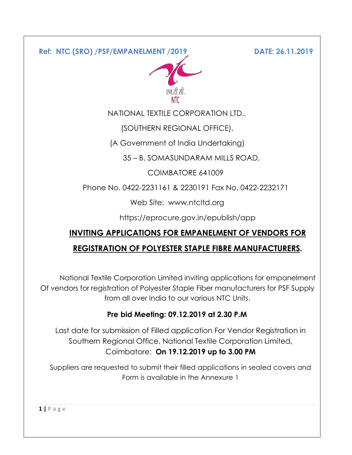**Ref: NTC (SRO) /PSF/EMPANELMENT /2019 DATE: 26.11.2019**



NATIONAL TEXTILE CORPORATION LTD.,

(SOUTHERN REGIONAL OFFICE),

(A Government of India Undertaking)

35 – B, SOMASUNDARAM MILLS ROAD,

COIMBATORE 641009

Phone No. 0422-2231161 & 2230191 Fax No. 0422-2232171

Web Site: www.ntcltd.org

https://eprocure.gov.in/epublish/app

# **INVITING APPLICATIONS FOR EMPANELMENT OF VENDORS FOR REGISTRATION OF POLYESTER STAPLE FIBRE MANUFACTURERS.**

National Textile Corporation Limited inviting applications for empanelment Of vendors for registration of Polyester Staple Fiber manufacturers for PSF Supply from all over India to our various NTC Units.

# **Pre bid Meeting: 09.12.2019 at 2.30 P.M**

Last date for submission of Filled application For Vendor Registration in Southern Regional Office, National Textile Corporation Limited, Coimbatore: **On 19.12.2019 up to 3.00 PM**

Suppliers are requested to submit their filled applications in sealed covers and Form is available in the Annexure 1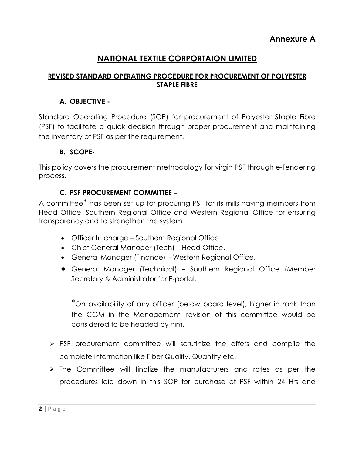# **NATIONAL TEXTILE CORPORTAION LIMITED**

# **REVISED STANDARD OPERATING PROCEDURE FOR PROCUREMENT OF POLYESTER STAPLE FIBRE**

# **A. OBJECTIVE -**

Standard Operating Procedure (SOP) for procurement of Polyester Staple Fibre (PSF) to facilitate a quick decision through proper procurement and maintaining the inventory of PSF as per the requirement.

### **B. SCOPE-**

This policy covers the procurement methodology for virgin PSF through e-Tendering process.

# **C. PSF PROCUREMENT COMMITTEE –**

A committee\* has been set up for procuring PSF for its mills having members from Head Office, Southern Regional Office and Western Regional Office for ensuring transparency and to strengthen the system

- Officer In charge Southern Regional Office.
- Chief General Manager (Tech) Head Office.
- General Manager (Finance) Western Regional Office.
- General Manager (Technical) Southern Regional Office (Member Secretary & Administrator for E-portal.

\*On availability of any officer (below board level), higher in rank than the CGM in the Management, revision of this committee would be considered to be headed by him.

- $\triangleright$  PSF procurement committee will scrutinize the offers and compile the complete information like Fiber Quality, Quantity etc.
- $\triangleright$  The Committee will finalize the manufacturers and rates as per the procedures laid down in this SOP for purchase of PSF within 24 Hrs and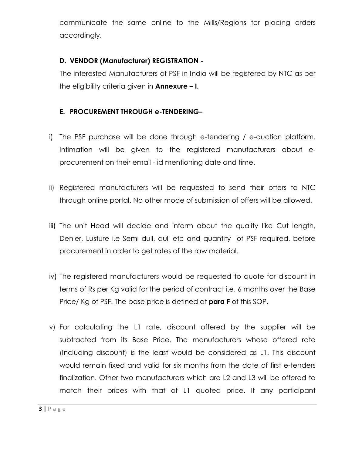communicate the same online to the Mills/Regions for placing orders accordingly.

# **D. VENDOR (Manufacturer) REGISTRATION -**

The interested Manufacturers of PSF in India will be registered by NTC as per the eligibility criteria given in **Annexure – I.**

# **E. PROCUREMENT THROUGH e-TENDERING–**

- i) The PSF purchase will be done through e-tendering / e-auction platform. Intimation will be given to the registered manufacturers about eprocurement on their email - id mentioning date and time.
- ii) Registered manufacturers will be requested to send their offers to NTC through online portal. No other mode of submission of offers will be allowed.
- iii) The unit Head will decide and inform about the quality like Cut length, Denier, Lusture i.e Semi dull, dull etc and quantity of PSF required, before procurement in order to get rates of the raw material.
- iv) The registered manufacturers would be requested to quote for discount in terms of Rs per Kg valid for the period of contract i.e. 6 months over the Base Price/ Kg of PSF. The base price is defined at **para F** of this SOP.
- v) For calculating the L1 rate, discount offered by the supplier will be subtracted from its Base Price. The manufacturers whose offered rate (Including discount) is the least would be considered as L1. This discount would remain fixed and valid for six months from the date of first e-tenders finalization. Other two manufacturers which are L2 and L3 will be offered to match their prices with that of L1 quoted price. If any participant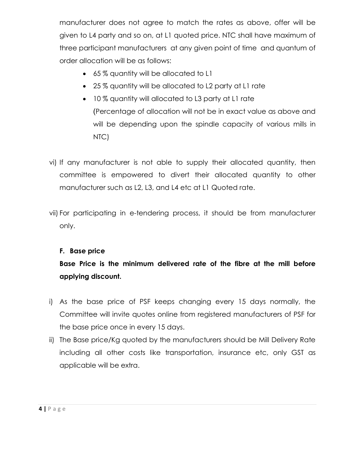manufacturer does not agree to match the rates as above, offer will be given to L4 party and so on, at L1 quoted price. NTC shall have maximum of three participant manufacturers at any given point of time and quantum of order allocation will be as follows:

- 65% quantity will be allocated to L1
- 25 % quantity will be allocated to L2 party at L1 rate
- 10% quantity will allocated to L3 party at L1 rate (Percentage of allocation will not be in exact value as above and will be depending upon the spindle capacity of various mills in NTC)
- vi) If any manufacturer is not able to supply their allocated quantity, then committee is empowered to divert their allocated quantity to other manufacturer such as L2, L3, and L4 etc at L1 Quoted rate.
- vii) For participating in e-tendering process, it should be from manufacturer only.

# **F. Base price**

**Base Price is the minimum delivered rate of the fibre at the mill before applying discount.** 

- i) As the base price of PSF keeps changing every 15 days normally, the Committee will invite quotes online from registered manufacturers of PSF for the base price once in every 15 days.
- ii) The Base price/Kg quoted by the manufacturers should be Mill Delivery Rate including all other costs like transportation, insurance etc, only GST as applicable will be extra.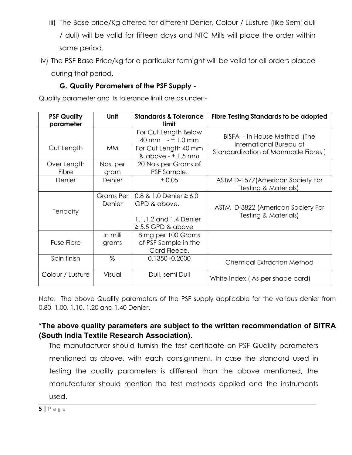- iii) The Base price/Kg offered for different Denier, Colour / Lusture (like Semi dull / dull) will be valid for fifteen days and NTC Mills will place the order within same period.
- iv) The PSF Base Price/kg for a particular fortnight will be valid for all orders placed during that period.

# **G. Quality Parameters of the PSF Supply -**

Quality parameter and its tolerance limit are as under:-

| <b>PSF Quality</b> | <b>Unit</b>         | <b>Standards &amp; Tolerance</b>                           | Fibre Testing Standards to be adopted                     |
|--------------------|---------------------|------------------------------------------------------------|-----------------------------------------------------------|
| parameter          |                     | limit                                                      |                                                           |
|                    |                     | For Cut Length Below<br>40 mm $-1.0$ mm                    | BISFA - In House Method (The<br>International Bureau of   |
| Cut Length         | <b>MM</b>           | For Cut Length 40 mm<br>& above $- \pm 1.5$ mm             | Standardization of Manmade Fibres)                        |
| Over Length        | Nos. per            | 20 No's per Grams of                                       |                                                           |
| Fibre              | gram                | PSF Sample.                                                |                                                           |
| Denier             | Denier              | ± 0.05                                                     | ASTM D-1577 (American Society For                         |
|                    |                     |                                                            | Testing & Materials)                                      |
| <b>Tenacity</b>    | Grams Per<br>Denier | 0.8 & 1.0 Denier $\geq 6.0$<br>GPD & above.                | ASTM D-3822 (American Society For<br>Testing & Materials) |
|                    |                     | 1.1, 1.2 and 1.4 Denier<br>$\geq$ 5.5 GPD & above          |                                                           |
| Fuse Fibre         | In milli<br>grams   | 8 mg per 100 Grams<br>of PSF Sample in the<br>Card Fleece. |                                                           |
| Spin finish        | %                   | 0.1350 -0.2000                                             | <b>Chemical Extraction Method</b>                         |
| Colour / Lusture   | Visual              | Dull, semi Dull                                            | White Index (As per shade card)                           |

Note: The above Quality parameters of the PSF supply applicable for the various denier from 0.80, 1.00, 1.10, 1.20 and 1.40 Denier.

# **\*The above quality parameters are subject to the written recommendation of SITRA (South India Textile Research Association).**

The manufacturer should furnish the test certificate on PSF Quality parameters mentioned as above, with each consignment. In case the standard used in testing the quality parameters is different than the above mentioned, the manufacturer should mention the test methods applied and the instruments used.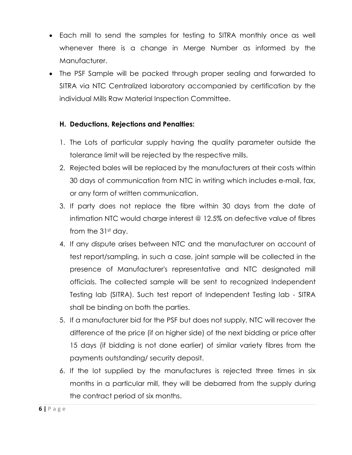- Each mill to send the samples for testing to SITRA monthly once as well whenever there is a change in Merge Number as informed by the Manufacturer.
- The PSF Sample will be packed through proper sealing and forwarded to SITRA via NTC Centralized laboratory accompanied by certification by the individual Mills Raw Material Inspection Committee.

# **H. Deductions, Rejections and Penalties:**

- 1. The Lots of particular supply having the quality parameter outside the tolerance limit will be rejected by the respective mills.
- 2. Rejected bales will be replaced by the manufacturers at their costs within 30 days of communication from NTC in writing which includes e-mail, fax, or any form of written communication.
- 3. If party does not replace the fibre within 30 days from the date of intimation NTC would charge interest @ 12.5% on defective value of fibres from the 31st day.
- 4. If any dispute arises between NTC and the manufacturer on account of test report/sampling, in such a case, joint sample will be collected in the presence of Manufacturer's representative and NTC designated mill officials. The collected sample will be sent to recognized Independent Testing lab (SITRA). Such test report of Independent Testing lab - SITRA shall be binding on both the parties.
- 5. If a manufacturer bid for the PSF but does not supply, NTC will recover the difference of the price (if on higher side) of the next bidding or price after 15 days (if bidding is not done earlier) of similar variety fibres from the payments outstanding/ security deposit.
- 6. If the lot supplied by the manufactures is rejected three times in six months in a particular mill, they will be debarred from the supply during the contract period of six months.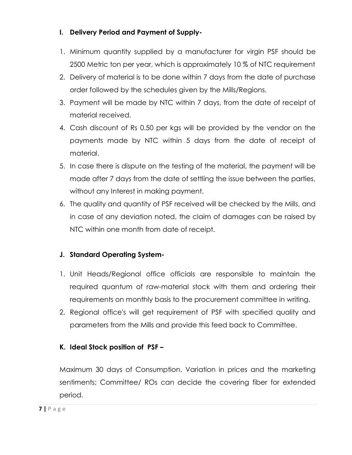# **I. Delivery Period and Payment of Supply-**

- 1. Minimum quantity supplied by a manufacturer for virgin PSF should be 2500 Metric ton per year, which is approximately 10 % of NTC requirement
- 2. Delivery of material is to be done within 7 days from the date of purchase order followed by the schedules given by the Mills/Regions.
- 3. Payment will be made by NTC within 7 days, from the date of receipt of material received.
- 4. Cash discount of Rs 0.50 per kgs will be provided by the vendor on the payments made by NTC within 5 days from the date of receipt of material.
- 5. In case there is dispute on the testing of the material, the payment will be made after 7 days from the date of settling the issue between the parties, without any Interest in making payment.
- 6. The quality and quantity of PSF received will be checked by the Mills, and in case of any deviation noted, the claim of damages can be raised by NTC within one month from date of receipt.

# **J. Standard Operating System-**

- 1. Unit Heads/Regional office officials are responsible to maintain the required quantum of raw-material stock with them and ordering their requirements on monthly basis to the procurement committee in writing.
- 2. Regional office's will get requirement of PSF with specified quality and parameters from the Mills and provide this feed back to Committee.

# **K. Ideal Stock position of PSF –**

Maximum 30 days of Consumption. Variation in prices and the marketing sentiments; Committee/ ROs can decide the covering fiber for extended period.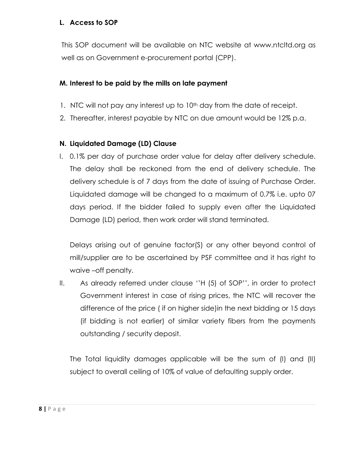### **L. Access to SOP**

This SOP document will be available on NTC website at www.ntcltd.org as well as on Government e-procurement portal (CPP).

# **M. Interest to be paid by the mills on late payment**

- 1. NTC will not pay any interest up to 10<sup>th</sup> day from the date of receipt.
- 2. Thereafter, interest payable by NTC on due amount would be 12% p.a.

# **N. Liquidated Damage (LD) Clause**

I. 0.1% per day of purchase order value for delay after delivery schedule. The delay shall be reckoned from the end of delivery schedule. The delivery schedule is of 7 days from the date of issuing of Purchase Order. Liquidated damage will be changed to a maximum of 0.7% i.e. upto 07 days period. If the bidder failed to supply even after the Liquidated Damage (LD) period, then work order will stand terminated.

Delays arising out of genuine factor(S) or any other beyond control of mill/supplier are to be ascertained by PSF committee and it has right to waive –off penalty.

II. As already referred under clause ''H (5) of SOP'', in order to protect Government interest in case of rising prices, the NTC will recover the difference of the price ( if on higher side)in the next bidding or 15 days (if bidding is not earlier) of similar variety fibers from the payments outstanding / security deposit.

The Total liquidity damages applicable will be the sum of (I) and (II) subject to overall ceiling of 10% of value of defaulting supply order.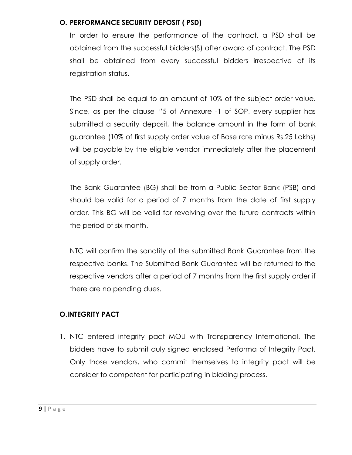### **O. PERFORMANCE SECURITY DEPOSIT ( PSD)**

In order to ensure the performance of the contract, a PSD shall be obtained from the successful bidders(S) after award of contract. The PSD shall be obtained from every successful bidders irrespective of its registration status.

The PSD shall be equal to an amount of 10% of the subject order value. Since, as per the clause ''5 of Annexure -1 of SOP, every supplier has submitted a security deposit, the balance amount in the form of bank guarantee (10% of first supply order value of Base rate minus Rs.25 Lakhs) will be payable by the eligible vendor immediately after the placement of supply order.

The Bank Guarantee (BG) shall be from a Public Sector Bank (PSB) and should be valid for a period of 7 months from the date of first supply order. This BG will be valid for revolving over the future contracts within the period of six month.

NTC will confirm the sanctity of the submitted Bank Guarantee from the respective banks. The Submitted Bank Guarantee will be returned to the respective vendors after a period of 7 months from the first supply order if there are no pending dues.

# **O.INTEGRITY PACT**

1. NTC entered integrity pact MOU with Transparency International. The bidders have to submit duly signed enclosed Performa of Integrity Pact. Only those vendors, who commit themselves to integrity pact will be consider to competent for participating in bidding process.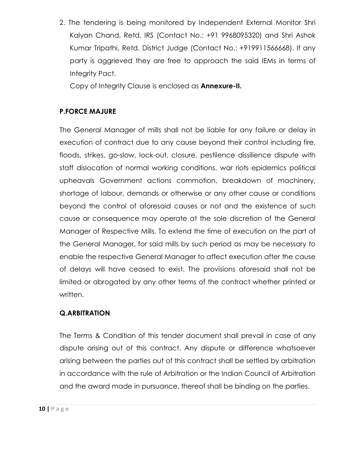2. The tendering is being monitored by Independent External Monitor Shri Kalyan Chand, Retd. IRS (Contact No.: +91 9968095320) and Shri Ashok Kumar Tripathi, Retd. District Judge (Contact No.: +919911566668). If any party is aggrieved they are free to approach the said IEMs in terms of Integrity Pact.

Copy of Integrity Clause is enclosed as **Annexure-II.**

# **P.FORCE MAJURE**

The General Manager of mills shall not be liable for any failure or delay in execution of contract due to any cause beyond their control including fire, floods, strikes, go-slow, lock-out, closure, pestilence dissilience dispute with staff dislocation of normal working conditions, war riots epidemics political upheavals Government actions commotion, breakdown of machinery, shortage of labour, demands or otherwise or any other cause or conditions beyond the control of aforesaid causes or not and the existence of such cause or consequence may operate at the sole discretion of the General Manager of Respective Mills. To extend the time of execution on the part of the General Manager, for said mills by such period as may be necessary to enable the respective General Manager to affect execution after the cause of delays will have ceased to exist. The provisions aforesaid shall not be limited or abrogated by any other terms of the contract whether printed or written.

### **Q.ARBITRATION**

The Terms & Condition of this tender document shall prevail in case of any dispute arising out of this contract. Any dispute or difference whatsoever arising between the parties out of this contract shall be settled by arbitration in accordance with the rule of Arbitration or the Indian Council of Arbitration and the award made in pursuance, thereof shall be binding on the parties.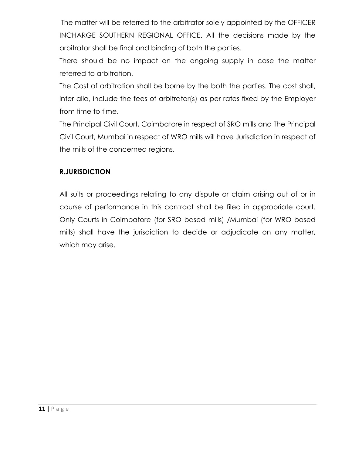The matter will be referred to the arbitrator solely appointed by the OFFICER INCHARGE SOUTHERN REGIONAL OFFICE. All the decisions made by the arbitrator shall be final and binding of both the parties.

There should be no impact on the ongoing supply in case the matter referred to arbitration.

The Cost of arbitration shall be borne by the both the parties. The cost shall, inter alia, include the fees of arbitrator(s) as per rates fixed by the Employer from time to time.

The Principal Civil Court, Coimbatore in respect of SRO mills and The Principal Civil Court, Mumbai in respect of WRO mills will have Jurisdiction in respect of the mills of the concerned regions.

# **R.JURISDICTION**

All suits or proceedings relating to any dispute or claim arising out of or in course of performance in this contract shall be filed in appropriate court. Only Courts in Coimbatore (for SRO based mills) /Mumbai (for WRO based mills) shall have the jurisdiction to decide or adjudicate on any matter, which may arise.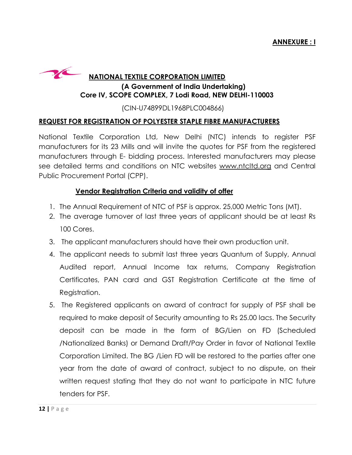

### **NATIONAL TEXTILE CORPORATION LIMITED**

### **(A Government of India Undertaking) Core IV, SCOPE COMPLEX, 7 Lodi Road, NEW DELHI-110003 110003**

(CIN (CIN-U74899DL1968PLC004866)

### **REQUEST FOR REGISTRATION OF POLYESTER STAPLE FIBRE MANUFACTURERS**

National Textile Corporation Ltd, New Delhi (NTC) intends to register PSF manufacturers for its 23 Mills and will invite the quotes for PSF from the registered manufacturers through E- bidding process. Interested manufacturers may please see detailed terms and conditions on NTC websites www.ntcltd.org and Central Public Procurement Portal (CPP).

### **Vendor Registration Criteria and validity of offer**

- 1. The Annual Requirement of NTC of PSF is approx. 25,000 Metric Tons (MT).
- 2. The average turnover of last three years of applicant should be at least Rs 100 Cores.
- 3. The applicant manufacturers should have their own production unit.
- 3. The applicant manufacturers should have their own production unit.<br>4. The applicant needs to submit last three years Quantum of Supply, Annual Audited report, Annual Income tax returns, Company Registration Registration Certificates, PAN card and GST Registration Certificate at the time of Registration.
- 5. The Registered applicants on award of contract for supply of PSF shall be required to make deposit of Security amounting to Rs 25.00 lacs lacs. The Security deposit can be made in the form of BG/Lien on FD FD (Scheduled /Nationalized Banks) or Demand Draft/Pay Order in favor of National Textile Corporation Limited. The BG /Lien FD will be restored to the parties after one year from the date of award of contract, subject to no dispute, on their written request stating that they do not want to participate in NTC future future tenders for PSF.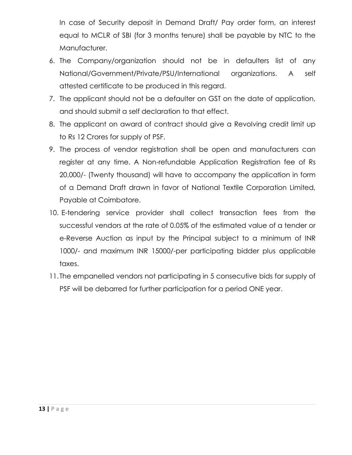In case of Security deposit in Demand Draft/ Pay order form, an interest equal to MCLR of SBI (for 3 months tenure) shall be payable by NTC to the Manufacturer.

- 6. The Company/organization should not be in defaulters list of any National/Government/Private/PSU/International organizations. A self attested certificate to be produced in this regard.
- 7. The applicant should not be a defaulter on GST on the date of application, and should submit a self declaration to that effect.
- 8. The applicant on award of contract should give a Revolving credit limit up to Rs 12 Crores for supply of PSF.
- 9. The process of vendor registration shall be open and manufacturers can register at any time. A Non-refundable Application Registration fee of Rs 20,000/- (Twenty thousand) will have to accompany the application in form of a Demand Draft drawn in favor of National Textile Corporation Limited, Payable at Coimbatore.
- 10. E-tendering service provider shall collect transaction fees from the successful vendors at the rate of 0.05% of the estimated value of a tender or e-Reverse Auction as input by the Principal subject to a minimum of INR 1000/- and maximum INR 15000/-per participating bidder plus applicable taxes.
- 11. The empanelled vendors not participating in 5 consecutive bids for supply of PSF will be debarred for further participation for a period ONE year.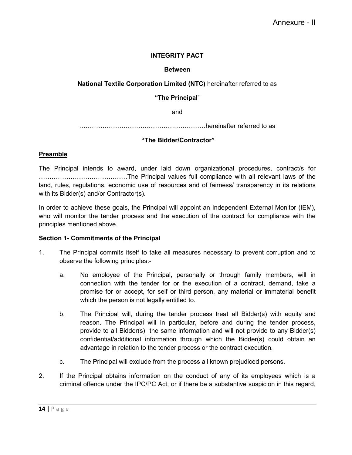#### **INTEGRITY PACT**

#### **Between**

#### **National Textile Corporation Limited (NTC)** hereinafter referred to as

**"The Principal**"

and

……………………………………………………hereinafter referred to as

#### **"The Bidder/Contractor"**

#### **Preamble**

The Principal intends to award, under laid down organizational procedures, contract/s for ……………………………………The Principal values full compliance with all relevant laws of the land, rules, regulations, economic use of resources and of fairness/ transparency in its relations with its Bidder(s) and/or Contractor(s).

In order to achieve these goals, the Principal will appoint an Independent External Monitor (IEM), who will monitor the tender process and the execution of the contract for compliance with the principles mentioned above.

#### **Section 1- Commitments of the Principal**

- 1. The Principal commits itself to take all measures necessary to prevent corruption and to observe the following principles:
	- a. No employee of the Principal, personally or through family members, will in connection with the tender for or the execution of a contract, demand, take a promise for or accept, for self or third person, any material or immaterial benefit which the person is not legally entitled to.
	- b. The Principal will, during the tender process treat all Bidder(s) with equity and reason. The Principal will in particular, before and during the tender process, provide to all Bidder(s) the same information and will not provide to any Bidder(s) confidential/additional information through which the Bidder(s) could obtain an advantage in relation to the tender process or the contract execution.
	- c. The Principal will exclude from the process all known prejudiced persons.
- 2. If the Principal obtains information on the conduct of any of its employees which is a criminal offence under the IPC/PC Act, or if there be a substantive suspicion in this regard,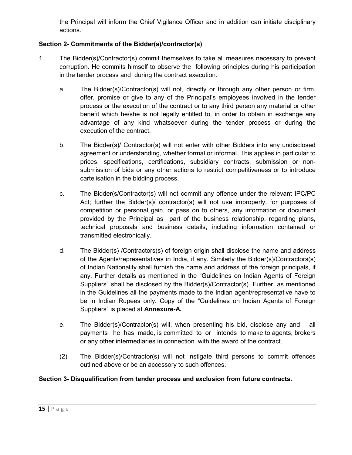the Principal will inform the Chief Vigilance Officer and in addition can initiate disciplinary actions.

### **Section 2- Commitments of the Bidder(s)/contractor(s)**

- 1. The Bidder(s)/Contractor(s) commit themselves to take all measures necessary to prevent corruption. He commits himself to observe the following principles during his participation in the tender process and during the contract execution.
	- a. The Bidder(s)/Contractor(s) will not, directly or through any other person or firm, offer, promise or give to any of the Principal's employees involved in the tender process or the execution of the contract or to any third person any material or other benefit which he/she is not legally entitled to, in order to obtain in exchange any advantage of any kind whatsoever during the tender process or during the execution of the contract.
	- b. The Bidder(s)/ Contractor(s) will not enter with other Bidders into any undisclosed agreement or understanding, whether formal or informal. This applies in particular to prices, specifications, certifications, subsidiary contracts, submission or nonsubmission of bids or any other actions to restrict competitiveness or to introduce cartelisation in the bidding process.
	- c. The Bidder(s/Contractor(s) will not commit any offence under the relevant IPC/PC Act; further the Bidder(s)/ contractor(s) will not use improperly, for purposes of competition or personal gain, or pass on to others, any information or document provided by the Principal as part of the business relationship, regarding plans, technical proposals and business details, including information contained or transmitted electronically.
	- d. The Bidder(s) /Contractors(s) of foreign origin shall disclose the name and address of the Agents/representatives in India, if any. Similarly the Bidder(s)/Contractors(s) of Indian Nationality shall furnish the name and address of the foreign principals, if any. Further details as mentioned in the "Guidelines on Indian Agents of Foreign Suppliers" shall be disclosed by the Bidder(s)/Contractor(s). Further, as mentioned in the Guidelines all the payments made to the Indian agent/representative have to be in Indian Rupees only. Copy of the "Guidelines on Indian Agents of Foreign Suppliers" is placed at **Annexure-A.**
	- e. The Bidder(s)/Contractor(s) will, when presenting his bid, disclose any and all payments he has made, is committed to or intends to make to agents, brokers or any other intermediaries in connection with the award of the contract.
	- (2) The Bidder(s)/Contractor(s) will not instigate third persons to commit offences outlined above or be an accessory to such offences.

#### **Section 3- Disqualification from tender process and exclusion from future contracts.**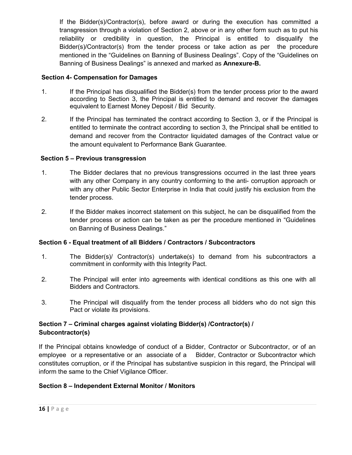If the Bidder(s)/Contractor(s), before award or during the execution has committed a transgression through a violation of Section 2, above or in any other form such as to put his reliability or credibility in question, the Principal is entitled to disqualify the Bidder(s)/Contractor(s) from the tender process or take action as per the procedure mentioned in the "Guidelines on Banning of Business Dealings". Copy of the "Guidelines on Banning of Business Dealings" is annexed and marked as **Annexure-B.**

#### **Section 4- Compensation for Damages**

- 1. If the Principal has disqualified the Bidder(s) from the tender process prior to the award according to Section 3, the Principal is entitled to demand and recover the damages equivalent to Earnest Money Deposit / Bid Security.
- 2. If the Principal has terminated the contract according to Section 3, or if the Principal is entitled to terminate the contract according to section 3, the Principal shall be entitled to demand and recover from the Contractor liquidated damages of the Contract value or the amount equivalent to Performance Bank Guarantee.

#### **Section 5 – Previous transgression**

- 1. The Bidder declares that no previous transgressions occurred in the last three years with any other Company in any country conforming to the anti- corruption approach or with any other Public Sector Enterprise in India that could justify his exclusion from the tender process.
- 2. If the Bidder makes incorrect statement on this subject, he can be disqualified from the tender process or action can be taken as per the procedure mentioned in "Guidelines on Banning of Business Dealings."

#### **Section 6 - Equal treatment of all Bidders / Contractors / Subcontractors**

- 1. The Bidder(s)/ Contractor(s) undertake(s) to demand from his subcontractors a commitment in conformity with this Integrity Pact.
- 2. The Principal will enter into agreements with identical conditions as this one with all Bidders and Contractors.
- 3. The Principal will disqualify from the tender process all bidders who do not sign this Pact or violate its provisions.

#### **Section 7 – Criminal charges against violating Bidder(s) /Contractor(s) / Subcontractor(s)**

If the Principal obtains knowledge of conduct of a Bidder, Contractor or Subcontractor, or of an employee or a representative or an associate of a Bidder, Contractor or Subcontractor which constitutes corruption, or if the Principal has substantive suspicion in this regard, the Principal will inform the same to the Chief Vigilance Officer.

#### **Section 8 – Independent External Monitor / Monitors**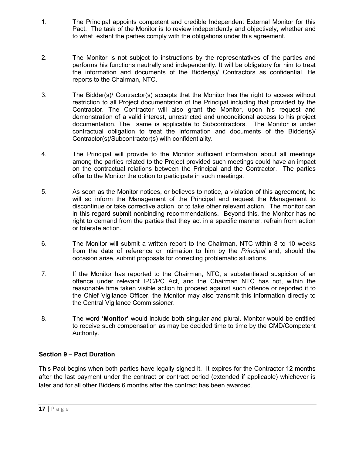- 1. The Principal appoints competent and credible Independent External Monitor for this Pact. The task of the Monitor is to review independently and objectively, whether and to what extent the parties comply with the obligations under this agreement.
- 2. The Monitor is not subject to instructions by the representatives of the parties and performs his functions neutrally and independently. It will be obligatory for him to treat the information and documents of the Bidder(s)/ Contractors as confidential. He reports to the Chairman, NTC.
- 3. The Bidder(s)/ Contractor(s) accepts that the Monitor has the right to access without restriction to all Project documentation of the Principal including that provided by the Contractor. The Contractor will also grant the Monitor, upon his request and demonstration of a valid interest, unrestricted and unconditional access to his project documentation. The same is applicable to Subcontractors. The Monitor is under contractual obligation to treat the information and documents of the Bidder(s)/ Contractor(s)/Subcontractor(s) with confidentiality.
- 4. The Principal will provide to the Monitor sufficient information about all meetings among the parties related to the Project provided such meetings could have an impact on the contractual relations between the Principal and the Contractor. The parties offer to the Monitor the option to participate in such meetings.
- 5. As soon as the Monitor notices, or believes to notice, a violation of this agreement, he will so inform the Management of the Principal and request the Management to discontinue or take corrective action, or to take other relevant action. The monitor can in this regard submit nonbinding recommendations. Beyond this, the Monitor has no right to demand from the parties that they act in a specific manner, refrain from action or tolerate action.
- 6. The Monitor will submit a written report to the Chairman, NTC within 8 to 10 weeks from the date of reference or intimation to him by the *Principal* and, should the occasion arise, submit proposals for correcting problematic situations.
- 7. If the Monitor has reported to the Chairman, NTC, a substantiated suspicion of an offence under relevant IPC/PC Act, and the Chairman NTC has not, within the reasonable time taken visible action to proceed against such offence or reported it to the Chief Vigilance Officer, the Monitor may also transmit this information directly to the Central Vigilance Commissioner.
- 8. The word **'Monitor'** would include both singular and plural. Monitor would be entitled to receive such compensation as may be decided time to time by the CMD/Competent Authority.

#### **Section 9 – Pact Duration**

This Pact begins when both parties have legally signed it. It expires for the Contractor 12 months after the last payment under the contract or contract period (extended if applicable) whichever is later and for all other Bidders 6 months after the contract has been awarded.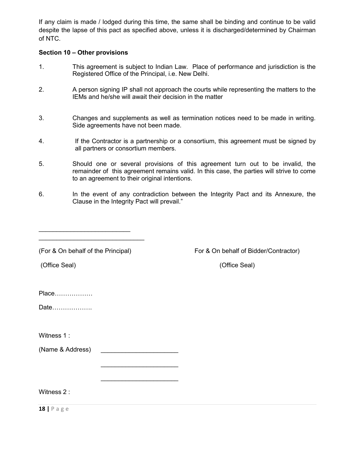If any claim is made / lodged during this time, the same shall be binding and continue to be valid despite the lapse of this pact as specified above, unless it is discharged/determined by Chairman of NTC.

#### **Section 10 – Other provisions**

- 1. This agreement is subject to Indian Law. Place of performance and jurisdiction is the Registered Office of the Principal, i.e. New Delhi.
- 2. A person signing IP shall not approach the courts while representing the matters to the IEMs and he/she will await their decision in the matter
- 3. Changes and supplements as well as termination notices need to be made in writing. Side agreements have not been made.
- 4. If the Contractor is a partnership or a consortium, this agreement must be signed by all partners or consortium members.
- 5. Should one or several provisions of this agreement turn out to be invalid, the remainder of this agreement remains valid. In this case, the parties will strive to come to an agreement to their original intentions.
- 6. In the event of any contradiction between the Integrity Pact and its Annexure, the Clause in the Integrity Pact will prevail."

|  |  | (For & On behalf of the Principal) |  |  |
|--|--|------------------------------------|--|--|
|  |  |                                    |  |  |

\_\_\_\_\_\_\_\_\_\_\_\_\_\_\_\_\_\_\_\_\_\_\_\_\_\_ \_\_\_\_\_\_\_\_\_\_\_\_\_\_\_\_\_\_\_\_\_\_\_\_\_\_\_\_\_\_

(For & On behalf of Bidder/Contractor) For & On behalf of Bidder/Contractor

(Office Seal) (Office Seal)

| Place |  |
|-------|--|
|-------|--|

Date……………….

Witness 1:

(Name & Address)

 $\overline{\phantom{a}}$  , and the set of the set of the set of the set of the set of the set of the set of the set of the set of the set of the set of the set of the set of the set of the set of the set of the set of the set of the s

 $\frac{1}{2}$  ,  $\frac{1}{2}$  ,  $\frac{1}{2}$  ,  $\frac{1}{2}$  ,  $\frac{1}{2}$  ,  $\frac{1}{2}$  ,  $\frac{1}{2}$  ,  $\frac{1}{2}$  ,  $\frac{1}{2}$  ,  $\frac{1}{2}$  ,  $\frac{1}{2}$  ,  $\frac{1}{2}$  ,  $\frac{1}{2}$  ,  $\frac{1}{2}$  ,  $\frac{1}{2}$  ,  $\frac{1}{2}$  ,  $\frac{1}{2}$  ,  $\frac{1}{2}$  ,  $\frac{1$ 

Witness 2 :

**18 |** P a g e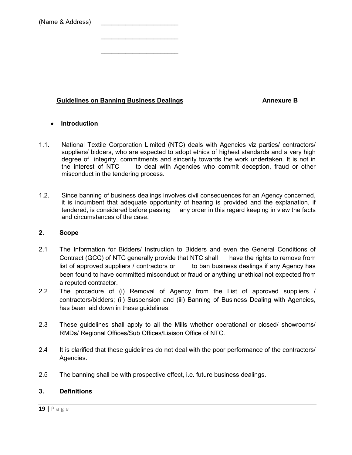| (Name & Address) |
|------------------|
|                  |

#### **Guidelines on Banning Business Dealings Annexure B** Annexure B

 $\overline{\phantom{a}}$  , and the set of the set of the set of the set of the set of the set of the set of the set of the set of the set of the set of the set of the set of the set of the set of the set of the set of the set of the s

\_\_\_\_\_\_\_\_\_\_\_\_\_\_\_\_\_\_\_\_\_\_

#### **Introduction**

- 1.1. National Textile Corporation Limited (NTC) deals with Agencies viz parties/ contractors/ suppliers/ bidders, who are expected to adopt ethics of highest standards and a very high degree of integrity, commitments and sincerity towards the work undertaken. It is not in the interest of NTC to deal with Agencies who commit deception, fraud or other misconduct in the tendering process.
- 1.2. Since banning of business dealings involves civil consequences for an Agency concerned, it is incumbent that adequate opportunity of hearing is provided and the explanation, if tendered, is considered before passing any order in this regard keeping in view the facts and circumstances of the case.

#### **2. Scope**

- 2.1 The Information for Bidders/ Instruction to Bidders and even the General Conditions of Contract (GCC) of NTC generally provide that NTC shall have the rights to remove from list of approved suppliers / contractors or to ban business dealings if any Agency has been found to have committed misconduct or fraud or anything unethical not expected from a reputed contractor.
- 2.2 The procedure of (i) Removal of Agency from the List of approved suppliers / contractors/bidders; (ii) Suspension and (iii) Banning of Business Dealing with Agencies, has been laid down in these guidelines.
- 2.3 These guidelines shall apply to all the Mills whether operational or closed/ showrooms/ RMDs/ Regional Offices/Sub Offices/Liaison Office of NTC.
- 2.4 It is clarified that these guidelines do not deal with the poor performance of the contractors/ Agencies.
- 2.5 The banning shall be with prospective effect, i.e. future business dealings.

#### **3. Definitions**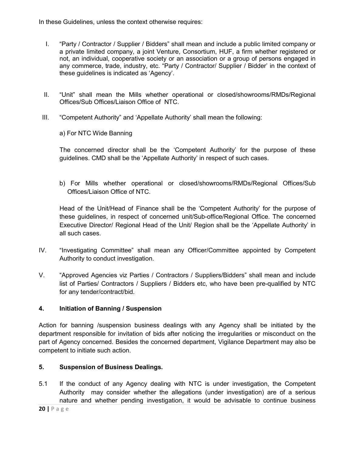In these Guidelines, unless the context otherwise requires:

- I. "Party / Contractor / Supplier / Bidders" shall mean and include a public limited company or a private limited company, a joint Venture, Consortium, HUF, a firm whether registered or not, an individual, cooperative society or an association or a group of persons engaged in any commerce, trade, industry, etc. "Party / Contractor/ Supplier / Bidder' in the context of these guidelines is indicated as 'Agency'.
- II. "Unit" shall mean the Mills whether operational or closed/showrooms/RMDs/Regional Offices/Sub Offices/Liaison Office of NTC.
- III. "Competent Authority" and 'Appellate Authority' shall mean the following:
	- a) For NTC Wide Banning

The concerned director shall be the 'Competent Authority' for the purpose of these guidelines. CMD shall be the 'Appellate Authority' in respect of such cases.

b) For Mills whether operational or closed/showrooms/RMDs/Regional Offices/Sub Offices/Liaison Office of NTC.

Head of the Unit/Head of Finance shall be the 'Competent Authority' for the purpose of these guidelines, in respect of concerned unit/Sub-office/Regional Office. The concerned Executive Director/ Regional Head of the Unit/ Region shall be the 'Appellate Authority' in all such cases.

- IV. "Investigating Committee" shall mean any Officer/Committee appointed by Competent Authority to conduct investigation.
- V. "Approved Agencies viz Parties / Contractors / Suppliers/Bidders" shall mean and include list of Parties/ Contractors / Suppliers / Bidders etc, who have been pre-qualified by NTC for any tender/contract/bid.

### **4. Initiation of Banning / Suspension**

Action for banning /suspension business dealings with any Agency shall be initiated by the department responsible for invitation of bids after noticing the irregularities or misconduct on the part of Agency concerned. Besides the concerned department, Vigilance Department may also be competent to initiate such action.

### **5. Suspension of Business Dealings.**

5.1 If the conduct of any Agency dealing with NTC is under investigation, the Competent Authority may consider whether the allegations (under investigation) are of a serious nature and whether pending investigation, it would be advisable to continue business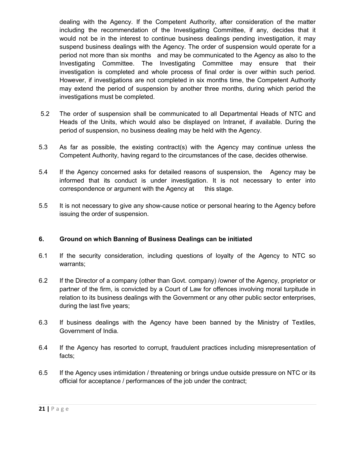dealing with the Agency. If the Competent Authority, after consideration of the matter including the recommendation of the Investigating Committee, if any, decides that it would not be in the interest to continue business dealings pending investigation, it may suspend business dealings with the Agency. The order of suspension would operate for a period not more than six months and may be communicated to the Agency as also to the Investigating Committee. The Investigating Committee may ensure that their investigation is completed and whole process of final order is over within such period. However, if investigations are not completed in six months time, the Competent Authority may extend the period of suspension by another three months, during which period the investigations must be completed.

- 5.2 The order of suspension shall be communicated to all Departmental Heads of NTC and Heads of the Units, which would also be displayed on Intranet, if available. During the period of suspension, no business dealing may be held with the Agency.
- 5.3 As far as possible, the existing contract(s) with the Agency may continue unless the Competent Authority, having regard to the circumstances of the case, decides otherwise.
- 5.4 If the Agency concerned asks for detailed reasons of suspension, the Agency may be informed that its conduct is under investigation. It is not necessary to enter into correspondence or argument with the Agency at this stage.
- 5.5 It is not necessary to give any show-cause notice or personal hearing to the Agency before issuing the order of suspension.

#### **6. Ground on which Banning of Business Dealings can be initiated**

- 6.1 If the security consideration, including questions of loyalty of the Agency to NTC so warrants;
- 6.2 If the Director of a company (other than Govt. company) /owner of the Agency, proprietor or partner of the firm, is convicted by a Court of Law for offences involving moral turpitude in relation to its business dealings with the Government or any other public sector enterprises, during the last five years;
- 6.3 If business dealings with the Agency have been banned by the Ministry of Textiles, Government of India.
- 6.4 If the Agency has resorted to corrupt, fraudulent practices including misrepresentation of facts;
- 6.5 If the Agency uses intimidation / threatening or brings undue outside pressure on NTC or its official for acceptance / performances of the job under the contract;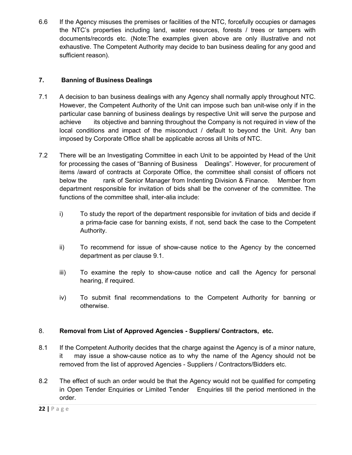6.6 If the Agency misuses the premises or facilities of the NTC, forcefully occupies or damages the NTC's properties including land, water resources, forests / trees or tampers with documents/records etc. (Note:The examples given above are only illustrative and not exhaustive. The Competent Authority may decide to ban business dealing for any good and sufficient reason).

### **7. Banning of Business Dealings**

- 7.1 A decision to ban business dealings with any Agency shall normally apply throughout NTC. However, the Competent Authority of the Unit can impose such ban unit-wise only if in the particular case banning of business dealings by respective Unit will serve the purpose and achieve its objective and banning throughout the Company is not required in view of the local conditions and impact of the misconduct / default to beyond the Unit. Any ban imposed by Corporate Office shall be applicable across all Units of NTC.
- 7.2 There will be an Investigating Committee in each Unit to be appointed by Head of the Unit for processing the cases of "Banning of Business Dealings". However, for procurement of items /award of contracts at Corporate Office, the committee shall consist of officers not below the rank of Senior Manager from Indenting Division & Finance. Member from department responsible for invitation of bids shall be the convener of the committee. The functions of the committee shall, inter-alia include:
	- i) To study the report of the department responsible for invitation of bids and decide if a prima-facie case for banning exists, if not, send back the case to the Competent Authority.
	- ii) To recommend for issue of show-cause notice to the Agency by the concerned department as per clause 9.1.
	- iii) To examine the reply to show-cause notice and call the Agency for personal hearing, if required.
	- iv) To submit final recommendations to the Competent Authority for banning or otherwise.

### 8. **Removal from List of Approved Agencies - Suppliers/ Contractors, etc.**

- 8.1 If the Competent Authority decides that the charge against the Agency is of a minor nature, it may issue a show-cause notice as to why the name of the Agency should not be removed from the list of approved Agencies - Suppliers / Contractors/Bidders etc.
- 8.2 The effect of such an order would be that the Agency would not be qualified for competing in Open Tender Enquiries or Limited Tender Enquiries till the period mentioned in the order.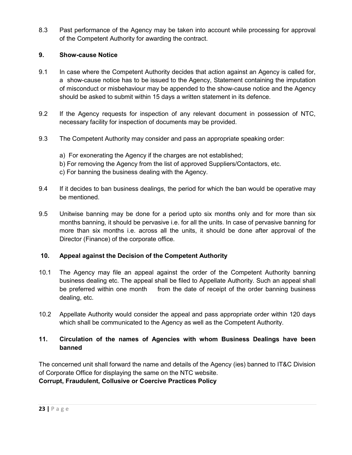8.3 Past performance of the Agency may be taken into account while processing for approval of the Competent Authority for awarding the contract.

### **9. Show-cause Notice**

- 9.1 In case where the Competent Authority decides that action against an Agency is called for, a show-cause notice has to be issued to the Agency, Statement containing the imputation of misconduct or misbehaviour may be appended to the show-cause notice and the Agency should be asked to submit within 15 days a written statement in its defence.
- 9.2 If the Agency requests for inspection of any relevant document in possession of NTC, necessary facility for inspection of documents may be provided.
- 9.3 The Competent Authority may consider and pass an appropriate speaking order:
	- a) For exonerating the Agency if the charges are not established; b) For removing the Agency from the list of approved Suppliers/Contactors, etc. c) For banning the business dealing with the Agency.
- 9.4 If it decides to ban business dealings, the period for which the ban would be operative may be mentioned.
- 9.5 Unitwise banning may be done for a period upto six months only and for more than six months banning, it should be pervasive i.e. for all the units. In case of pervasive banning for more than six months i.e. across all the units, it should be done after approval of the Director (Finance) of the corporate office.

### **10. Appeal against the Decision of the Competent Authority**

- 10.1 The Agency may file an appeal against the order of the Competent Authority banning business dealing etc. The appeal shall be filed to Appellate Authority. Such an appeal shall be preferred within one month from the date of receipt of the order banning business dealing, etc.
- 10.2 Appellate Authority would consider the appeal and pass appropriate order within 120 days which shall be communicated to the Agency as well as the Competent Authority.

### **11. Circulation of the names of Agencies with whom Business Dealings have been banned**

The concerned unit shall forward the name and details of the Agency (ies) banned to IT&C Division of Corporate Office for displaying the same on the NTC website. **Corrupt, Fraudulent, Collusive or Coercive Practices Policy**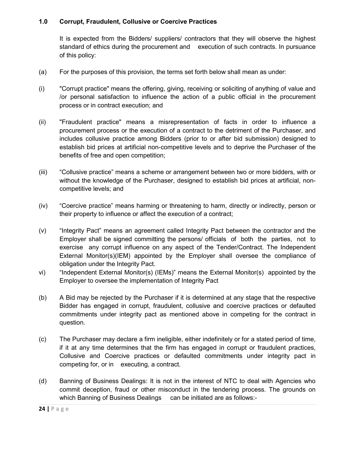#### **1.0 Corrupt, Fraudulent, Collusive or Coercive Practices**

It is expected from the Bidders/ suppliers/ contractors that they will observe the highest standard of ethics during the procurement and execution of such contracts. In pursuance of this policy:

- (a) For the purposes of this provision, the terms set forth below shall mean as under:
- (i) "Corrupt practice" means the offering, giving, receiving or soliciting of anything of value and /or personal satisfaction to influence the action of a public official in the procurement process or in contract execution; and
- (ii) "Fraudulent practice" means a misrepresentation of facts in order to influence a procurement process or the execution of a contract to the detriment of the Purchaser, and includes collusive practice among Bidders (prior to or after bid submission) designed to establish bid prices at artificial non-competitive levels and to deprive the Purchaser of the benefits of free and open competition;
- (iii) "Collusive practice" means a scheme or arrangement between two or more bidders, with or without the knowledge of the Purchaser, designed to establish bid prices at artificial, noncompetitive levels; and
- (iv) "Coercive practice" means harming or threatening to harm, directly or indirectly, person or their property to influence or affect the execution of a contract;
- (v) "Integrity Pact" means an agreement called Integrity Pact between the contractor and the Employer shall be signed committing the persons/ officials of both the parties, not to exercise any corrupt influence on any aspect of the Tender/Contract. The Independent External Monitor(s)(IEM) appointed by the Employer shall oversee the compliance of obligation under the Integrity Pact.
- vi) "Independent External Monitor(s) (IEMs)" means the External Monitor(s) appointed by the Employer to oversee the implementation of Integrity Pact
- (b) A Bid may be rejected by the Purchaser if it is determined at any stage that the respective Bidder has engaged in corrupt, fraudulent, collusive and coercive practices or defaulted commitments under integrity pact as mentioned above in competing for the contract in question.
- (c) The Purchaser may declare a firm ineligible, either indefinitely or for a stated period of time, if it at any time determines that the firm has engaged in corrupt or fraudulent practices, Collusive and Coercive practices or defaulted commitments under integrity pact in competing for, or in executing, a contract.
- (d) Banning of Business Dealings: It is not in the interest of NTC to deal with Agencies who commit deception, fraud or other misconduct in the tendering process. The grounds on which Banning of Business Dealings can be initiated are as follows:-